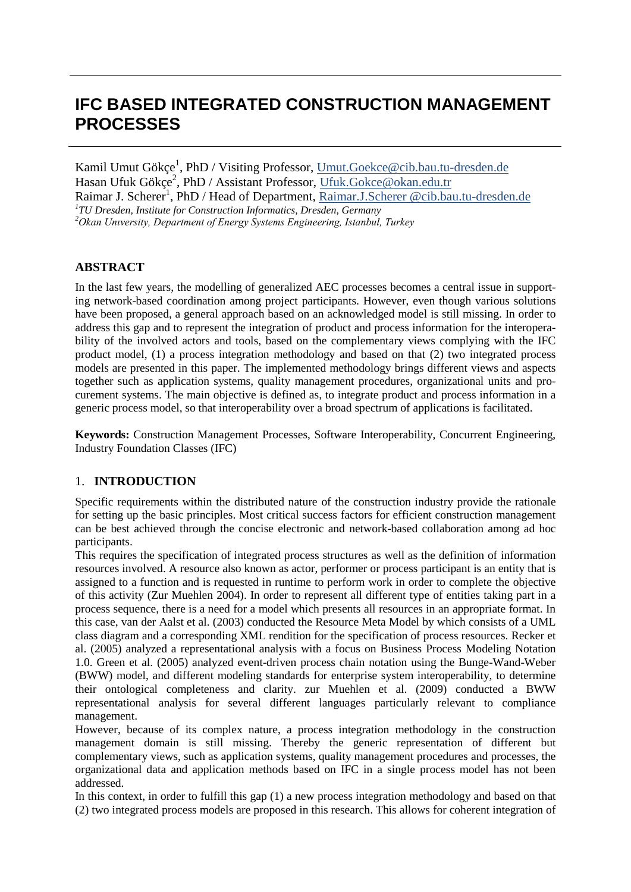# **IFC BASED INTEGRATED CONSTRUCTION MANAGEMENT PROCESSES**

Kamil Umut Gökçe<sup>1</sup>, PhD / Visiting Professor, Umut.Goekce@cib.bau.tu-dresden.de Hasan Ufuk Gökçe<sup>2</sup>, PhD / Assistant Professor, <u>Ufuk.Gokce@okan.edu.tr</u> Raimar J. Scherer<sup>1</sup>, PhD / Head of Department, <u>Raimar.J.Scherer @cib.bau.tu-dresden.de</u><br><sup>1</sup>TU Dresden, Institute for Construction Informatics, Dresden, Germany *TU Dresden, Institute for Construction Informatics, Dresden, Germany 2 Okan Unıversity, Department of Energy Systems Engineering, Istanbul, Turkey*

# **ABSTRACT**

In the last few years, the modelling of generalized AEC processes becomes a central issue in supporting network-based coordination among project participants. However, even though various solutions have been proposed, a general approach based on an acknowledged model is still missing. In order to address this gap and to represent the integration of product and process information for the interoperability of the involved actors and tools, based on the complementary views complying with the IFC product model, (1) a process integration methodology and based on that (2) two integrated process models are presented in this paper. The implemented methodology brings different views and aspects together such as application systems, quality management procedures, organizational units and procurement systems. The main objective is defined as, to integrate product and process information in a generic process model, so that interoperability over a broad spectrum of applications is facilitated.

**Keywords:** Construction Management Processes, Software Interoperability, Concurrent Engineering, Industry Foundation Classes (IFC)

## 1. **INTRODUCTION**

Specific requirements within the distributed nature of the construction industry provide the rationale for setting up the basic principles. Most critical success factors for efficient construction management can be best achieved through the concise electronic and network-based collaboration among ad hoc participants.

This requires the specification of integrated process structures as well as the definition of information resources involved. A resource also known as actor, performer or process participant is an entity that is assigned to a function and is requested in runtime to perform work in order to complete the objective of this activity (Zur Muehlen 2004). In order to represent all different type of entities taking part in a process sequence, there is a need for a model which presents all resources in an appropriate format. In this case, van der Aalst et al. (2003) conducted the Resource Meta Model by which consists of a UML class diagram and a corresponding XML rendition for the specification of process resources. Recker et al. (2005) analyzed a representational analysis with a focus on Business Process Modeling Notation 1.0. Green et al. (2005) analyzed event-driven process chain notation using the Bunge-Wand-Weber (BWW) model, and different modeling standards for enterprise system interoperability, to determine their ontological completeness and clarity. zur Muehlen et al. (2009) conducted a BWW representational analysis for several different languages particularly relevant to compliance management.

However, because of its complex nature, a process integration methodology in the construction management domain is still missing. Thereby the generic representation of different but complementary views, such as application systems, quality management procedures and processes, the organizational data and application methods based on IFC in a single process model has not been addressed.

In this context, in order to fulfill this gap (1) a new process integration methodology and based on that (2) two integrated process models are proposed in this research. This allows for coherent integration of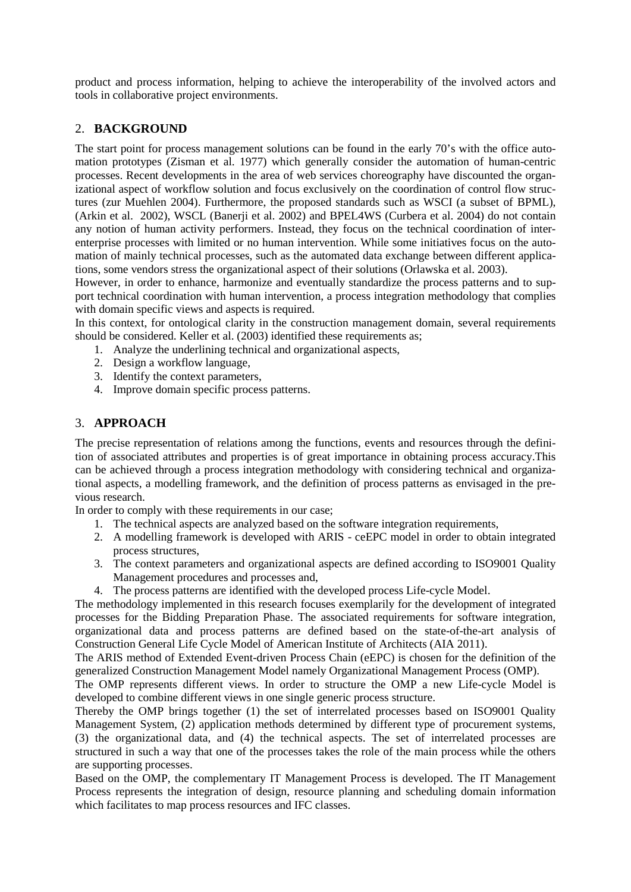product and process information, helping to achieve the interoperability of the involved actors and tools in collaborative project environments.

# 2. **BACKGROUND**

The start point for process management solutions can be found in the early 70's with the office automation prototypes (Zisman et al. 1977) which generally consider the automation of human-centric processes. Recent developments in the area of web services choreography have discounted the organizational aspect of workflow solution and focus exclusively on the coordination of control flow structures (zur Muehlen 2004). Furthermore, the proposed standards such as WSCI (a subset of BPML), (Arkin et al. 2002), WSCL (Banerji et al. 2002) and BPEL4WS (Curbera et al. 2004) do not contain any notion of human activity performers. Instead, they focus on the technical coordination of interenterprise processes with limited or no human intervention. While some initiatives focus on the automation of mainly technical processes, such as the automated data exchange between different applications, some vendors stress the organizational aspect of their solutions (Orlawska et al. 2003).

However, in order to enhance, harmonize and eventually standardize the process patterns and to support technical coordination with human intervention, a process integration methodology that complies with domain specific views and aspects is required.

In this context, for ontological clarity in the construction management domain, several requirements should be considered. Keller et al. (2003) identified these requirements as;

- 1. Analyze the underlining technical and organizational aspects,
- 2. Design a workflow language,
- 3. Identify the context parameters,
- 4. Improve domain specific process patterns.

# 3. **APPROACH**

The precise representation of relations among the functions, events and resources through the definition of associated attributes and properties is of great importance in obtaining process accuracy.This can be achieved through a process integration methodology with considering technical and organizational aspects, a modelling framework, and the definition of process patterns as envisaged in the previous research.

In order to comply with these requirements in our case;

- 1. The technical aspects are analyzed based on the software integration requirements,
- 2. A modelling framework is developed with ARIS ceEPC model in order to obtain integrated process structures,
- 3. The context parameters and organizational aspects are defined according to ISO9001 Quality Management procedures and processes and,
- 4. The process patterns are identified with the developed process Life-cycle Model.

The methodology implemented in this research focuses exemplarily for the development of integrated processes for the Bidding Preparation Phase. The associated requirements for software integration, organizational data and process patterns are defined based on the state-of-the-art analysis of Construction General Life Cycle Model of American Institute of Architects (AIA 2011).

The ARIS method of Extended Event-driven Process Chain (eEPC) is chosen for the definition of the generalized Construction Management Model namely Organizational Management Process (OMP).

The OMP represents different views. In order to structure the OMP a new Life-cycle Model is developed to combine different views in one single generic process structure.

Thereby the OMP brings together (1) the set of interrelated processes based on ISO9001 Quality Management System, (2) application methods determined by different type of procurement systems, (3) the organizational data, and (4) the technical aspects. The set of interrelated processes are structured in such a way that one of the processes takes the role of the main process while the others are supporting processes.

Based on the OMP, the complementary IT Management Process is developed. The IT Management Process represents the integration of design, resource planning and scheduling domain information which facilitates to map process resources and IFC classes.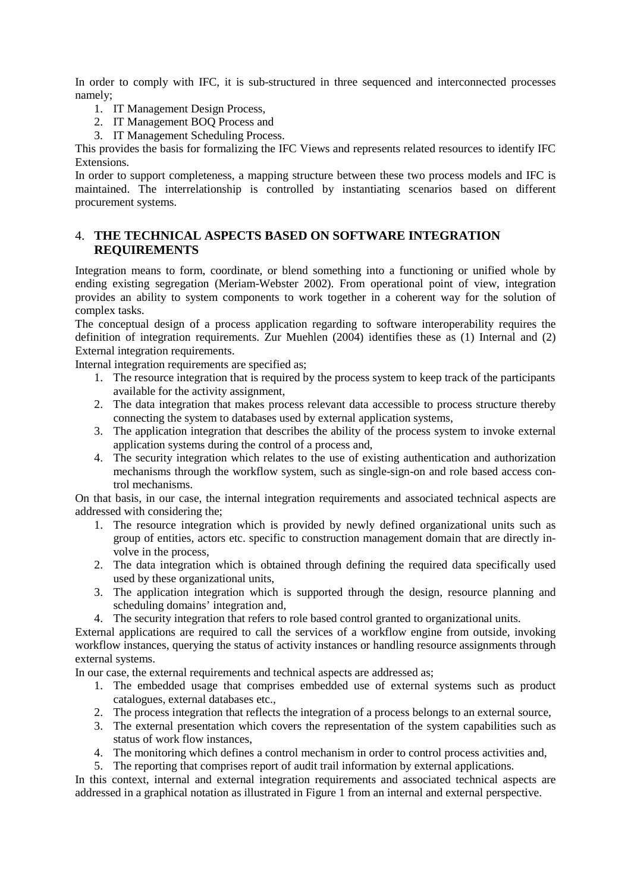In order to comply with IFC, it is sub-structured in three sequenced and interconnected processes namely;

- 1. IT Management Design Process,
- 2. IT Management BOQ Process and
- 3. IT Management Scheduling Process.

This provides the basis for formalizing the IFC Views and represents related resources to identify IFC Extensions.

In order to support completeness, a mapping structure between these two process models and IFC is maintained. The interrelationship is controlled by instantiating scenarios based on different procurement systems.

# 4. **THE TECHNICAL ASPECTS BASED ON SOFTWARE INTEGRATION REQUIREMENTS**

Integration means to form, coordinate, or blend something into a functioning or unified whole by ending existing segregation (Meriam-Webster 2002). From operational point of view, integration provides an ability to system components to work together in a coherent way for the solution of complex tasks.

The conceptual design of a process application regarding to software interoperability requires the definition of integration requirements. Zur Muehlen (2004) identifies these as (1) Internal and (2) External integration requirements.

Internal integration requirements are specified as;

- 1. The resource integration that is required by the process system to keep track of the participants available for the activity assignment,
- 2. The data integration that makes process relevant data accessible to process structure thereby connecting the system to databases used by external application systems,
- 3. The application integration that describes the ability of the process system to invoke external application systems during the control of a process and,
- 4. The security integration which relates to the use of existing authentication and authorization mechanisms through the workflow system, such as single-sign-on and role based access control mechanisms.

On that basis, in our case, the internal integration requirements and associated technical aspects are addressed with considering the;

- 1. The resource integration which is provided by newly defined organizational units such as group of entities, actors etc. specific to construction management domain that are directly involve in the process,
- 2. The data integration which is obtained through defining the required data specifically used used by these organizational units,
- 3. The application integration which is supported through the design, resource planning and scheduling domains' integration and,
- 4. The security integration that refers to role based control granted to organizational units.

External applications are required to call the services of a workflow engine from outside, invoking workflow instances, querying the status of activity instances or handling resource assignments through external systems.

In our case, the external requirements and technical aspects are addressed as;

- 1. The embedded usage that comprises embedded use of external systems such as product catalogues, external databases etc.,
- 2. The process integration that reflects the integration of a process belongs to an external source,
- 3. The external presentation which covers the representation of the system capabilities such as status of work flow instances,
- 4. The monitoring which defines a control mechanism in order to control process activities and,
- 5. The reporting that comprises report of audit trail information by external applications.

In this context, internal and external integration requirements and associated technical aspects are addressed in a graphical notation as illustrated in Figure 1 from an internal and external perspective.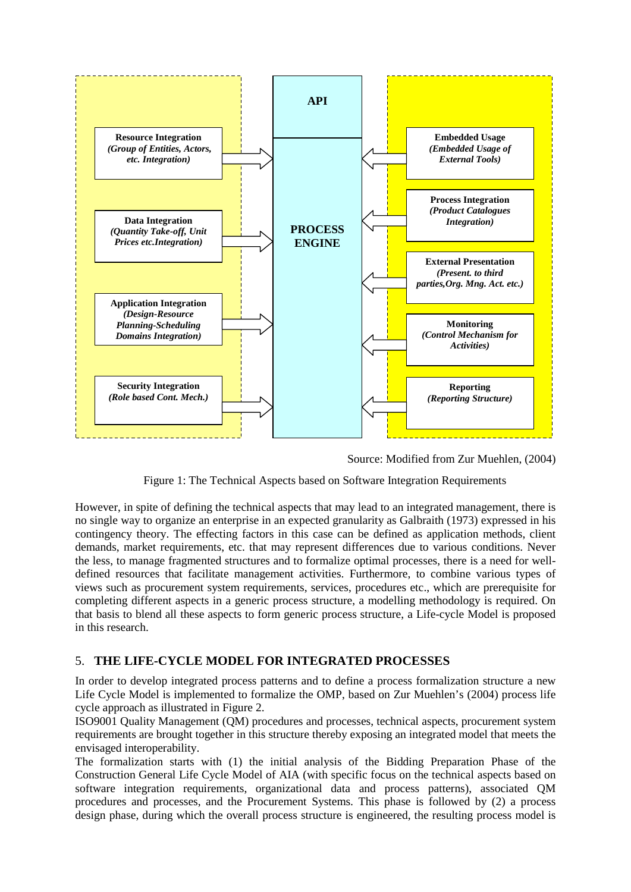

Source: Modified from Zur Muehlen, (2004)

Figure 1: The Technical Aspects based on Software Integration Requirements

However, in spite of defining the technical aspects that may lead to an integrated management, there is no single way to organize an enterprise in an expected granularity as Galbraith (1973) expressed in his contingency theory. The effecting factors in this case can be defined as application methods, client demands, market requirements, etc. that may represent differences due to various conditions. Never the less, to manage fragmented structures and to formalize optimal processes, there is a need for welldefined resources that facilitate management activities. Furthermore, to combine various types of views such as procurement system requirements, services, procedures etc., which are prerequisite for completing different aspects in a generic process structure, a modelling methodology is required. On that basis to blend all these aspects to form generic process structure, a Life-cycle Model is proposed in this research.

# 5. **THE LIFE-CYCLE MODEL FOR INTEGRATED PROCESSES**

In order to develop integrated process patterns and to define a process formalization structure a new Life Cycle Model is implemented to formalize the OMP, based on Zur Muehlen's (2004) process life cycle approach as illustrated in Figure 2.

ISO9001 Quality Management (QM) procedures and processes, technical aspects, procurement system requirements are brought together in this structure thereby exposing an integrated model that meets the envisaged interoperability.

The formalization starts with (1) the initial analysis of the Bidding Preparation Phase of the Construction General Life Cycle Model of AIA (with specific focus on the technical aspects based on software integration requirements, organizational data and process patterns), associated QM procedures and processes, and the Procurement Systems. This phase is followed by (2) a process design phase, during which the overall process structure is engineered, the resulting process model is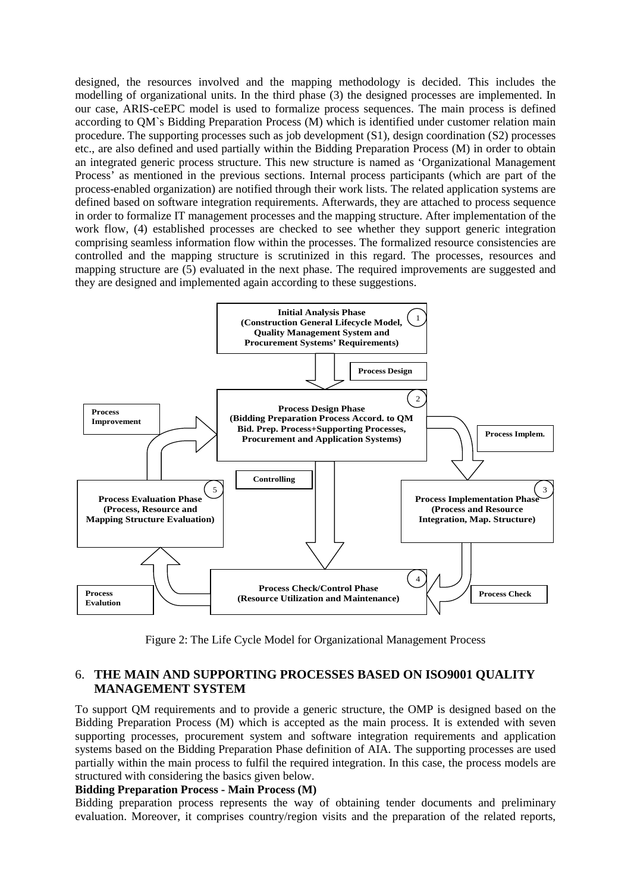designed, the resources involved and the mapping methodology is decided. This includes the modelling of organizational units. In the third phase (3) the designed processes are implemented. In our case, ARIS-ceEPC model is used to formalize process sequences. The main process is defined according to QM`s Bidding Preparation Process (M) which is identified under customer relation main procedure. The supporting processes such as job development (S1), design coordination (S2) processes etc., are also defined and used partially within the Bidding Preparation Process (M) in order to obtain an integrated generic process structure. This new structure is named as 'Organizational Management Process' as mentioned in the previous sections. Internal process participants (which are part of the process-enabled organization) are notified through their work lists. The related application systems are defined based on software integration requirements. Afterwards, they are attached to process sequence in order to formalize IT management processes and the mapping structure. After implementation of the work flow, (4) established processes are checked to see whether they support generic integration comprising seamless information flow within the processes. The formalized resource consistencies are controlled and the mapping structure is scrutinized in this regard. The processes, resources and mapping structure are (5) evaluated in the next phase. The required improvements are suggested and they are designed and implemented again according to these suggestions.



Figure 2: The Life Cycle Model for Organizational Management Process

# 6. **THE MAIN AND SUPPORTING PROCESSES BASED ON ISO9001 QUALITY MANAGEMENT SYSTEM**

To support QM requirements and to provide a generic structure, the OMP is designed based on the Bidding Preparation Process (M) which is accepted as the main process. It is extended with seven supporting processes, procurement system and software integration requirements and application systems based on the Bidding Preparation Phase definition of AIA. The supporting processes are used partially within the main process to fulfil the required integration. In this case, the process models are structured with considering the basics given below.

#### **Bidding Preparation Process - Main Process (M)**

Bidding preparation process represents the way of obtaining tender documents and preliminary evaluation. Moreover, it comprises country/region visits and the preparation of the related reports,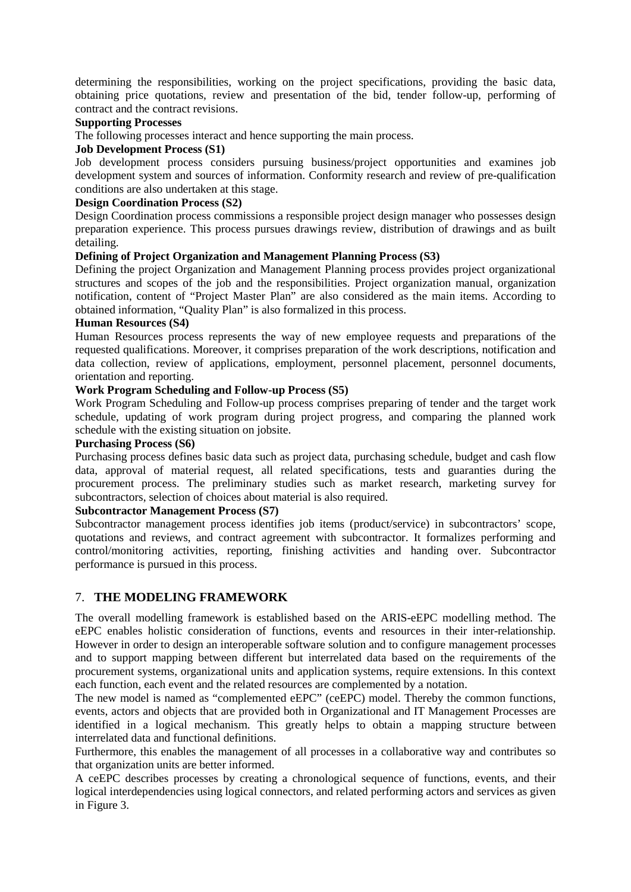determining the responsibilities, working on the project specifications, providing the basic data, obtaining price quotations, review and presentation of the bid, tender follow-up, performing of contract and the contract revisions.

#### **Supporting Processes**

The following processes interact and hence supporting the main process.

#### **Job Development Process (S1)**

Job development process considers pursuing business/project opportunities and examines job development system and sources of information. Conformity research and review of pre-qualification conditions are also undertaken at this stage.

## **Design Coordination Process (S2)**

Design Coordination process commissions a responsible project design manager who possesses design preparation experience. This process pursues drawings review, distribution of drawings and as built detailing.

## **Defining of Project Organization and Management Planning Process (S3)**

Defining the project Organization and Management Planning process provides project organizational structures and scopes of the job and the responsibilities. Project organization manual, organization notification, content of "Project Master Plan" are also considered as the main items. According to obtained information, "Quality Plan" is also formalized in this process.

#### **Human Resources (S4)**

Human Resources process represents the way of new employee requests and preparations of the requested qualifications. Moreover, it comprises preparation of the work descriptions, notification and data collection, review of applications, employment, personnel placement, personnel documents, orientation and reporting.

## **Work Program Scheduling and Follow-up Process (S5)**

Work Program Scheduling and Follow-up process comprises preparing of tender and the target work schedule, updating of work program during project progress, and comparing the planned work schedule with the existing situation on jobsite.

## **Purchasing Process (S6)**

Purchasing process defines basic data such as project data, purchasing schedule, budget and cash flow data, approval of material request, all related specifications, tests and guaranties during the procurement process. The preliminary studies such as market research, marketing survey for subcontractors, selection of choices about material is also required.

#### **Subcontractor Management Process (S7)**

Subcontractor management process identifies job items (product/service) in subcontractors' scope, quotations and reviews, and contract agreement with subcontractor. It formalizes performing and control/monitoring activities, reporting, finishing activities and handing over. Subcontractor performance is pursued in this process.

## 7. **THE MODELING FRAMEWORK**

The overall modelling framework is established based on the ARIS-eEPC modelling method. The eEPC enables holistic consideration of functions, events and resources in their inter-relationship. However in order to design an interoperable software solution and to configure management processes and to support mapping between different but interrelated data based on the requirements of the procurement systems, organizational units and application systems, require extensions. In this context each function, each event and the related resources are complemented by a notation.

The new model is named as "complemented eEPC" (ceEPC) model. Thereby the common functions, events, actors and objects that are provided both in Organizational and IT Management Processes are identified in a logical mechanism. This greatly helps to obtain a mapping structure between interrelated data and functional definitions.

Furthermore, this enables the management of all processes in a collaborative way and contributes so that organization units are better informed.

A ceEPC describes processes by creating a chronological sequence of functions, events, and their logical interdependencies using logical connectors, and related performing actors and services as given in Figure 3.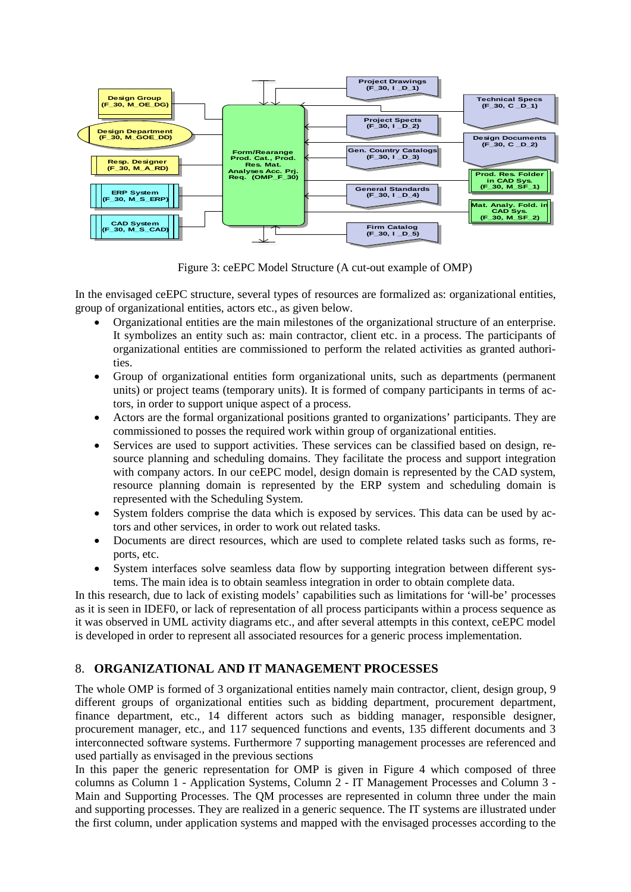

Figure 3: ceEPC Model Structure (A cut-out example of OMP)

In the envisaged ceEPC structure, several types of resources are formalized as: organizational entities, group of organizational entities, actors etc., as given below.

- Organizational entities are the main milestones of the organizational structure of an enterprise. It symbolizes an entity such as: main contractor, client etc. in a process. The participants of organizational entities are commissioned to perform the related activities as granted authorities.
- Group of organizational entities form organizational units, such as departments (permanent units) or project teams (temporary units). It is formed of company participants in terms of actors, in order to support unique aspect of a process.
- Actors are the formal organizational positions granted to organizations' participants. They are commissioned to posses the required work within group of organizational entities.
- Services are used to support activities. These services can be classified based on design, resource planning and scheduling domains. They facilitate the process and support integration with company actors. In our ceEPC model, design domain is represented by the CAD system, resource planning domain is represented by the ERP system and scheduling domain is represented with the Scheduling System.
- System folders comprise the data which is exposed by services. This data can be used by actors and other services, in order to work out related tasks.
- Documents are direct resources, which are used to complete related tasks such as forms, reports, etc.
- System interfaces solve seamless data flow by supporting integration between different systems. The main idea is to obtain seamless integration in order to obtain complete data.

In this research, due to lack of existing models' capabilities such as limitations for 'will-be' processes as it is seen in IDEF0, or lack of representation of all process participants within a process sequence as it was observed in UML activity diagrams etc., and after several attempts in this context, ceEPC model is developed in order to represent all associated resources for a generic process implementation.

## 8. **ORGANIZATIONAL AND IT MANAGEMENT PROCESSES**

The whole OMP is formed of 3 organizational entities namely main contractor, client, design group, 9 different groups of organizational entities such as bidding department, procurement department, finance department, etc., 14 different actors such as bidding manager, responsible designer, procurement manager, etc., and 117 sequenced functions and events, 135 different documents and 3 interconnected software systems. Furthermore 7 supporting management processes are referenced and used partially as envisaged in the previous sections

In this paper the generic representation for OMP is given in Figure 4 which composed of three columns as Column 1 - Application Systems, Column 2 - IT Management Processes and Column 3 - Main and Supporting Processes. The QM processes are represented in column three under the main and supporting processes. They are realized in a generic sequence. The IT systems are illustrated under the first column, under application systems and mapped with the envisaged processes according to the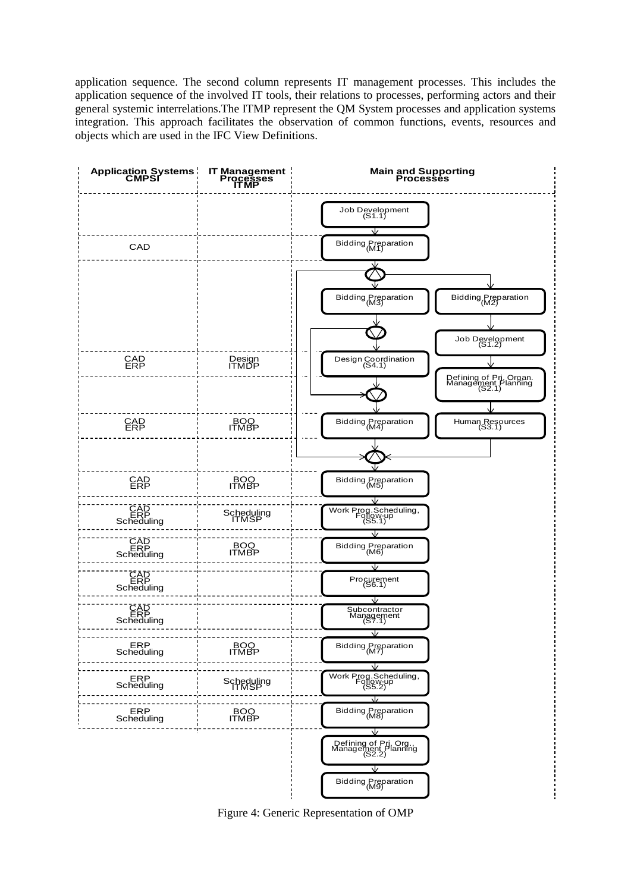application sequence. The second column represents IT management processes. This includes the application sequence of the involved IT tools, their relations to processes, performing actors and their general systemic interrelations.The ITMP represent the QM System processes and application systems integration. This approach facilitates the observation of common functions, events, resources and objects which are used in the IFC View Definitions.



Figure 4: Generic Representation of OMP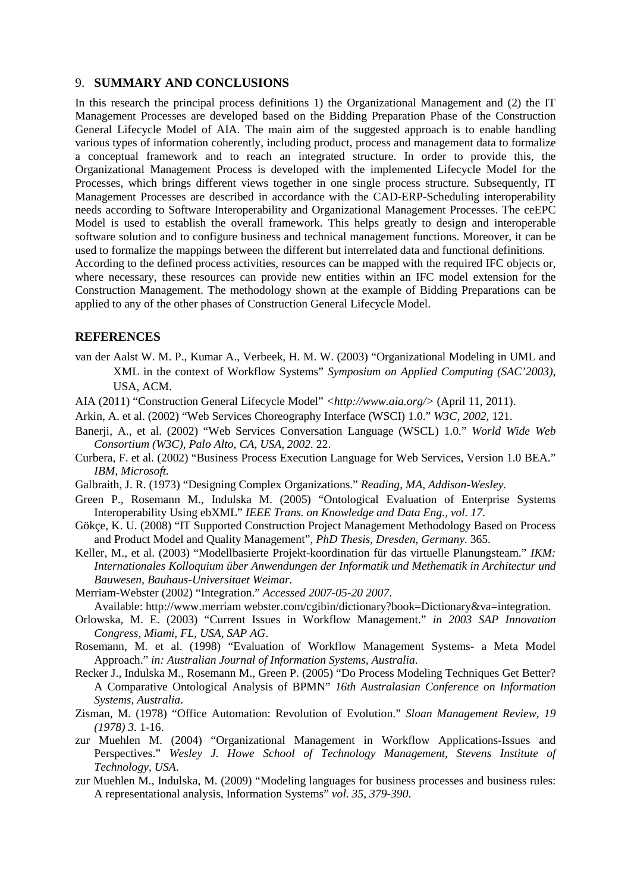#### 9. **SUMMARY AND CONCLUSIONS**

In this research the principal process definitions 1) the Organizational Management and (2) the IT Management Processes are developed based on the Bidding Preparation Phase of the Construction General Lifecycle Model of AIA. The main aim of the suggested approach is to enable handling various types of information coherently, including product, process and management data to formalize a conceptual framework and to reach an integrated structure. In order to provide this, the Organizational Management Process is developed with the implemented Lifecycle Model for the Processes, which brings different views together in one single process structure. Subsequently, IT Management Processes are described in accordance with the CAD-ERP-Scheduling interoperability needs according to Software Interoperability and Organizational Management Processes. The ceEPC Model is used to establish the overall framework. This helps greatly to design and interoperable software solution and to configure business and technical management functions. Moreover, it can be used to formalize the mappings between the different but interrelated data and functional definitions. According to the defined process activities, resources can be mapped with the required IFC objects or, where necessary, these resources can provide new entities within an IFC model extension for the

Construction Management. The methodology shown at the example of Bidding Preparations can be applied to any of the other phases of Construction General Lifecycle Model.

#### **REFERENCES**

- van der Aalst W. M. P., Kumar A., Verbeek, H. M. W. (2003) "Organizational Modeling in UML and XML in the context of Workflow Systems" *Symposium on Applied Computing (SAC'2003)*, USA, ACM.
- AIA (2011) "Construction General Lifecycle Model" *[<http://www.aia.org/>](http://www.aia.org/)* (April 11, 2011).
- Arkin, A. et al. (2002) "Web Services Choreography Interface (WSCI) 1.0." *W3C, 2002,* 121.
- Banerji, A., et al. (2002) "Web Services Conversation Language (WSCL) 1.0." *World Wide Web Consortium (W3C), Palo Alto, CA, USA, 2002.* 22.
- Curbera, F. et al. (2002) "Business Process Execution Language for Web Services, Version 1.0 BEA." *IBM, Microsoft.*
- Galbraith, J. R. (1973) "Designing Complex Organizations." *Reading, MA, Addison-Wesley.*
- Green P., Rosemann M., Indulska M. (2005) "Ontological Evaluation of Enterprise Systems Interoperability Using ebXML" *IEEE Trans. on Knowledge and Data Eng., vol. 17*.
- Gökçe, K. U. (2008) "IT Supported Construction Project Management Methodology Based on Process and Product Model and Quality Management", *PhD Thesis, Dresden, Germany.* 365.
- Keller, M., et al. (2003) "Modellbasierte Projekt-koordination für das virtuelle Planungsteam." *IKM: Internationales Kolloquium über Anwendungen der Informatik und Methematik in Architectur und Bauwesen, Bauhaus-Universitaet Weimar.*
- Merriam-Webster (2002) "Integration." *Accessed 2007-05-20 2007*.
- Available: [http://www.merriam](http://www.merriam/) webster.com/cgibin/dictionary?book=Dictionary&va=integration.
- Orlowska, M. E. (2003) "Current Issues in Workflow Management." *in 2003 SAP Innovation Congress, Miami, FL, USA, SAP AG*.
- Rosemann, M. et al. (1998) "Evaluation of Workflow Management Systems- a Meta Model Approach." *in: Australian Journal of Information Systems, Australia*.
- Recker J., Indulska M., Rosemann M., Green P. (2005) "Do Process Modeling Techniques Get Better? A Comparative Ontological Analysis of BPMN" *16th Australasian Conference on Information Systems, Australia*.
- Zisman, M. (1978) "Office Automation: Revolution of Evolution." *Sloan Management Review, 19 (1978) 3.* 1-16.
- zur Muehlen M. (2004) "Organizational Management in Workflow Applications-Issues and Perspectives." *Wesley J. Howe School of Technology Management, Stevens Institute of Technology, USA*.
- zur Muehlen M., Indulska, M. (2009) "Modeling languages for business processes and business rules: A representational analysis, Information Systems" *vol. 35, 379-390*.